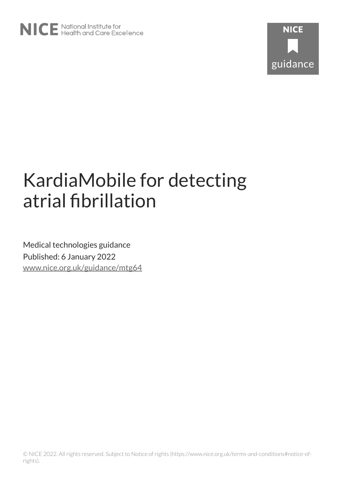

# KardiaMobile for detecting atrial fibrillation

Medical technologies guidance Published: 6 January 2022 [www.nice.org.uk/guidance/mtg64](https://www.nice.org.uk/guidance/mtg64)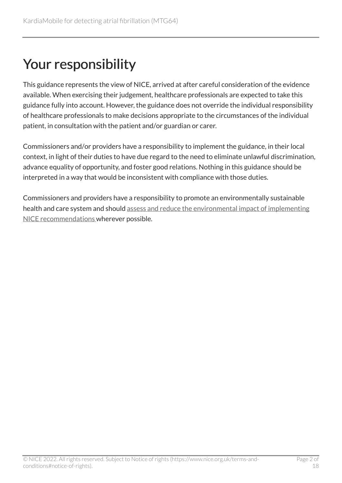## Your responsibility

This guidance represents the view of NICE, arrived at after careful consideration of the evidence available. When exercising their judgement, healthcare professionals are expected to take this guidance fully into account. However, the guidance does not override the individual responsibility of healthcare professionals to make decisions appropriate to the circumstances of the individual patient, in consultation with the patient and/or guardian or carer.

Commissioners and/or providers have a responsibility to implement the guidance, in their local context, in light of their duties to have due regard to the need to eliminate unlawful discrimination, advance equality of opportunity, and foster good relations. Nothing in this guidance should be interpreted in a way that would be inconsistent with compliance with those duties.

Commissioners and providers have a responsibility to promote an environmentally sustainable health and care system and should [assess and reduce the environmental impact of implementing](https://www.nice.org.uk/about/who-we-are/sustainability)  [NICE recommendations w](https://www.nice.org.uk/about/who-we-are/sustainability)herever possible.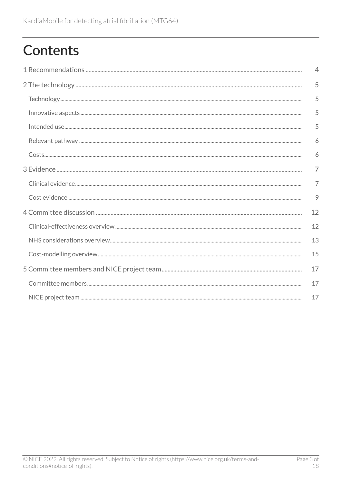## **Contents**

| $\overline{4}$ |
|----------------|
| 5              |
| 5              |
| 5              |
| 5              |
| 6              |
| 6              |
| 7              |
| $\overline{7}$ |
| 9              |
| 12             |
| 12             |
| 13             |
| 15             |
| 17             |
| 17             |
| 17             |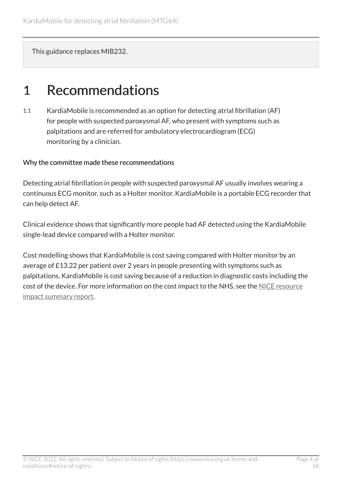This guidance replaces MIB232.

### <span id="page-3-0"></span>1 Recommendations

1.1 KardiaMobile is recommended as an option for detecting atrial fibrillation (AF) for people with suspected paroxysmal AF, who present with symptoms such as palpitations and are referred for ambulatory electrocardiogram (ECG) monitoring by a clinician.

#### Why the committee made these recommendations

Detecting atrial fibrillation in people with suspected paroxysmal AF usually involves wearing a continuous ECG monitor, such as a Holter monitor. KardiaMobile is a portable ECG recorder that can help detect AF.

Clinical evidence shows that significantly more people had AF detected using the KardiaMobile single-lead device compared with a Holter monitor.

Cost modelling shows that KardiaMobile is cost saving compared with Holter monitor by an average of £13.22 per patient over 2 years in people presenting with symptoms such as palpitations. KardiaMobile is cost saving because of a reduction in diagnostic costs including the cost of the device. For more information on the cost impact to the NHS, see the [NICE resource](http://www.nice.org.uk/guidance/MTG64/resources) [impact summary report.](http://www.nice.org.uk/guidance/MTG64/resources)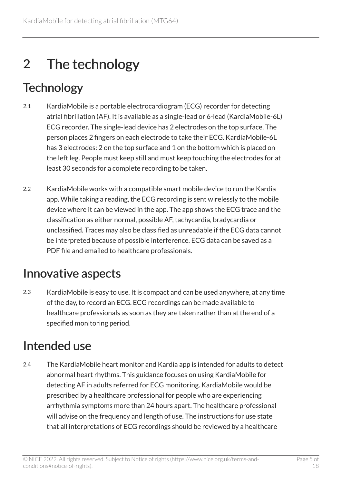## <span id="page-4-0"></span>2 The technology

## <span id="page-4-1"></span>**Technology**

- 2.1 KardiaMobile is a portable electrocardiogram (ECG) recorder for detecting atrial fibrillation (AF). It is available as a single-lead or 6-lead (KardiaMobile-6L) ECG recorder. The single-lead device has 2 electrodes on the top surface. The person places 2 fingers on each electrode to take their ECG. KardiaMobile-6L has 3 electrodes: 2 on the top surface and 1 on the bottom which is placed on the left leg. People must keep still and must keep touching the electrodes for at least 30 seconds for a complete recording to be taken.
- 2.2 KardiaMobile works with a compatible smart mobile device to run the Kardia app. While taking a reading, the ECG recording is sent wirelessly to the mobile device where it can be viewed in the app. The app shows the ECG trace and the classification as either normal, possible AF, tachycardia, bradycardia or unclassified. Traces may also be classified as unreadable if the ECG data cannot be interpreted because of possible interference. ECG data can be saved as a PDF file and emailed to healthcare professionals.

### <span id="page-4-2"></span>Innovative aspects

2.3 KardiaMobile is easy to use. It is compact and can be used anywhere, at any time of the day, to record an ECG. ECG recordings can be made available to healthcare professionals as soon as they are taken rather than at the end of a specified monitoring period.

### <span id="page-4-3"></span>Intended use

2.4 The KardiaMobile heart monitor and Kardia app is intended for adults to detect abnormal heart rhythms. This guidance focuses on using KardiaMobile for detecting AF in adults referred for ECG monitoring. KardiaMobile would be prescribed by a healthcare professional for people who are experiencing arrhythmia symptoms more than 24 hours apart. The healthcare professional will advise on the frequency and length of use. The instructions for use state that all interpretations of ECG recordings should be reviewed by a healthcare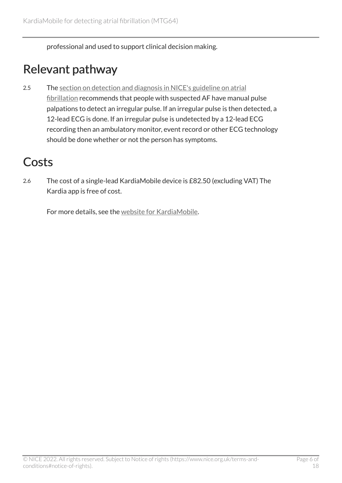professional and used to support clinical decision making.

### <span id="page-5-0"></span>Relevant pathway

2.5 The section on detection and diagnosis in NICE's guideline on atrial [fibrillation](https://www.nice.org.uk/guidance/ng196/chapter/Recommendations#detection-and-diagnosis) recommends that people with suspected AF have manual pulse palpations to detect an irregular pulse. If an irregular pulse is then detected, a 12-lead ECG is done. If an irregular pulse is undetected by a 12-lead ECG recording then an ambulatory monitor, event record or other ECG technology should be done whether or not the person has symptoms.

### <span id="page-5-1"></span>**Costs**

2.6 The cost of a single-lead KardiaMobile device is £82.50 (excluding VAT) The Kardia app is free of cost.

For more details, see the [website for KardiaMobile](https://www.alivecor.com/kardiamobile/).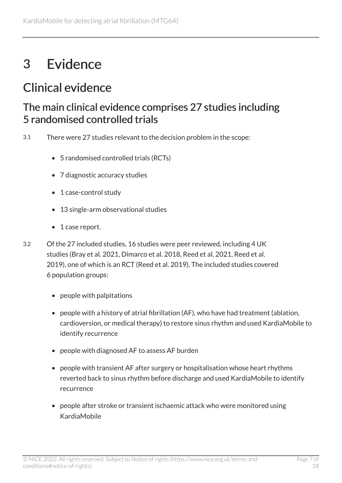## <span id="page-6-0"></span>3 Evidence

### <span id="page-6-1"></span>Clinical evidence

#### The main clinical evidence comprises 27 studies including 5 randomised controlled trials

- 3.1 There were 27 studies relevant to the decision problem in the scope:
	- 5 randomised controlled trials (RCTs)
	- 7 diagnostic accuracy studies
	- 1 case-control study
	- 13 single-arm observational studies
	- 1 case report.
- 3.2 Of the 27 included studies, 16 studies were peer reviewed, including 4 UK studies (Bray et al. 2021, Dimarco et al. 2018, Reed et al. 2021, Reed et al. 2019), one of which is an RCT (Reed et al. 2019). The included studies covered 6 population groups:
	- people with palpitations
	- people with a history of atrial fibrillation (AF), who have had treatment (ablation, cardioversion, or medical therapy) to restore sinus rhythm and used KardiaMobile to identify recurrence
	- people with diagnosed AF to assess AF burden
	- people with transient AF after surgery or hospitalisation whose heart rhythms reverted back to sinus rhythm before discharge and used KardiaMobile to identify recurrence
	- people after stroke or transient ischaemic attack who were monitored using KardiaMobile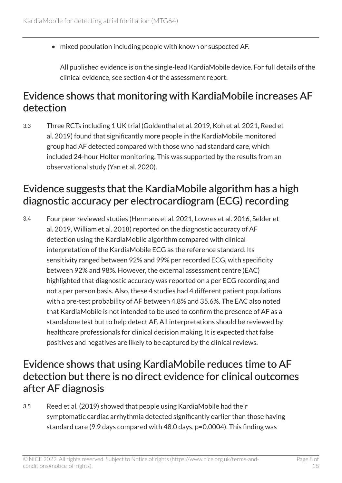• mixed population including people with known or suspected AF.

All published evidence is on the single-lead KardiaMobile device. For full details of the clinical evidence, see section 4 of the assessment report.

#### Evidence shows that monitoring with KardiaMobile increases AF detection

3.3 Three RCTs including 1 UK trial (Goldenthal et al. 2019, Koh et al. 2021, Reed et al. 2019) found that significantly more people in the KardiaMobile monitored group had AF detected compared with those who had standard care, which included 24-hour Holter monitoring. This was supported by the results from an observational study (Yan et al. 2020).

#### Evidence suggests that the KardiaMobile algorithm has a high diagnostic accuracy per electrocardiogram (ECG) recording

3.4 Four peer reviewed studies (Hermans et al. 2021, Lowres et al. 2016, Selder et al. 2019, William et al. 2018) reported on the diagnostic accuracy of AF detection using the KardiaMobile algorithm compared with clinical interpretation of the KardiaMobile ECG as the reference standard. Its sensitivity ranged between 92% and 99% per recorded ECG, with specificity between 92% and 98%. However, the external assessment centre (EAC) highlighted that diagnostic accuracy was reported on a per ECG recording and not a per person basis. Also, these 4 studies had 4 different patient populations with a pre-test probability of AF between 4.8% and 35.6%. The EAC also noted that KardiaMobile is not intended to be used to confirm the presence of AF as a standalone test but to help detect AF. All interpretations should be reviewed by healthcare professionals for clinical decision making. It is expected that false positives and negatives are likely to be captured by the clinical reviews.

#### Evidence shows that using KardiaMobile reduces time to AF detection but there is no direct evidence for clinical outcomes after AF diagnosis

3.5 Reed et al. (2019) showed that people using KardiaMobile had their symptomatic cardiac arrhythmia detected significantly earlier than those having standard care (9.9 days compared with 48.0 days, p=0.0004). This finding was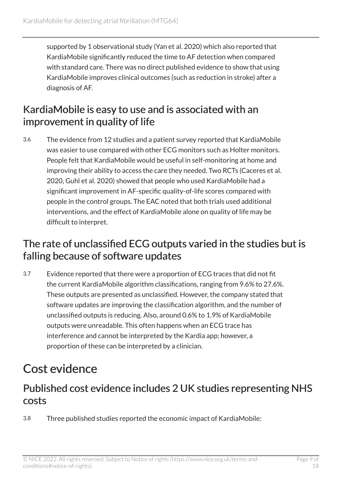supported by 1 observational study (Yan et al. 2020) which also reported that KardiaMobile significantly reduced the time to AF detection when compared with standard care. There was no direct published evidence to show that using KardiaMobile improves clinical outcomes (such as reduction in stroke) after a diagnosis of AF.

#### KardiaMobile is easy to use and is associated with an improvement in quality of life

3.6 The evidence from 12 studies and a patient survey reported that KardiaMobile was easier to use compared with other ECG monitors such as Holter monitors. People felt that KardiaMobile would be useful in self-monitoring at home and improving their ability to access the care they needed. Two RCTs (Caceres et al. 2020, Guhl et al. 2020) showed that people who used KardiaMobile had a significant improvement in AF-specific quality-of-life scores compared with people in the control groups. The EAC noted that both trials used additional interventions, and the effect of KardiaMobile alone on quality of life may be difficult to interpret.

#### The rate of unclassified ECG outputs varied in the studies but is falling because of software updates

3.7 Evidence reported that there were a proportion of ECG traces that did not fit the current KardiaMobile algorithm classifications, ranging from 9.6% to 27.6%. These outputs are presented as unclassified. However, the company stated that software updates are improving the classification algorithm, and the number of unclassified outputs is reducing. Also, around 0.6% to 1.9% of KardiaMobile outputs were unreadable. This often happens when an ECG trace has interference and cannot be interpreted by the Kardia app; however, a proportion of these can be interpreted by a clinician.

## <span id="page-8-0"></span>Cost evidence

#### Published cost evidence includes 2 UK studies representing NHS costs

3.8 Three published studies reported the economic impact of KardiaMobile: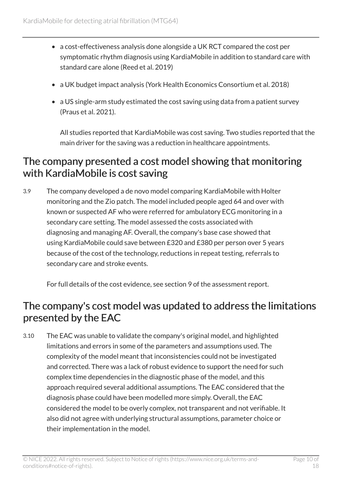- a cost-effectiveness analysis done alongside a UK RCT compared the cost per symptomatic rhythm diagnosis using KardiaMobile in addition to standard care with standard care alone (Reed et al. 2019)
- a UK budget impact analysis (York Health Economics Consortium et al. 2018)
- a US single-arm study estimated the cost saving using data from a patient survey (Praus et al. 2021).

All studies reported that KardiaMobile was cost saving. Two studies reported that the main driver for the saving was a reduction in healthcare appointments.

#### The company presented a cost model showing that monitoring with KardiaMobile is cost saving

3.9 The company developed a de novo model comparing KardiaMobile with Holter monitoring and the Zio patch. The model included people aged 64 and over with known or suspected AF who were referred for ambulatory ECG monitoring in a secondary care setting. The model assessed the costs associated with diagnosing and managing AF. Overall, the company's base case showed that using KardiaMobile could save between £320 and £380 per person over 5 years because of the cost of the technology, reductions in repeat testing, referrals to secondary care and stroke events.

For full details of the cost evidence, see section 9 of the assessment report.

#### The company's cost model was updated to address the limitations presented by the EAC

3.10 The EAC was unable to validate the company's original model, and highlighted limitations and errors in some of the parameters and assumptions used. The complexity of the model meant that inconsistencies could not be investigated and corrected. There was a lack of robust evidence to support the need for such complex time dependencies in the diagnostic phase of the model, and this approach required several additional assumptions. The EAC considered that the diagnosis phase could have been modelled more simply. Overall, the EAC considered the model to be overly complex, not transparent and not verifiable. It also did not agree with underlying structural assumptions, parameter choice or their implementation in the model.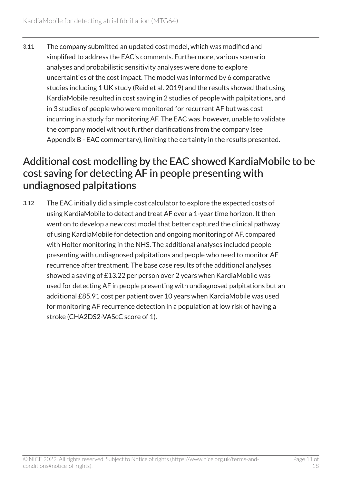3.11 The company submitted an updated cost model, which was modified and simplified to address the EAC's comments. Furthermore, various scenario analyses and probabilistic sensitivity analyses were done to explore uncertainties of the cost impact. The model was informed by 6 comparative studies including 1 UK study (Reid et al. 2019) and the results showed that using KardiaMobile resulted in cost saving in 2 studies of people with palpitations, and in 3 studies of people who were monitored for recurrent AF but was cost incurring in a study for monitoring AF. The EAC was, however, unable to validate the company model without further clarifications from the company (see Appendix B - EAC commentary), limiting the certainty in the results presented.

#### Additional cost modelling by the EAC showed KardiaMobile to be cost saving for detecting AF in people presenting with undiagnosed palpitations

3.12 The EAC initially did a simple cost calculator to explore the expected costs of using KardiaMobile to detect and treat AF over a 1-year time horizon. It then went on to develop a new cost model that better captured the clinical pathway of using KardiaMobile for detection and ongoing monitoring of AF, compared with Holter monitoring in the NHS. The additional analyses included people presenting with undiagnosed palpitations and people who need to monitor AF recurrence after treatment. The base case results of the additional analyses showed a saving of £13.22 per person over 2 years when KardiaMobile was used for detecting AF in people presenting with undiagnosed palpitations but an additional £85.91 cost per patient over 10 years when KardiaMobile was used for monitoring AF recurrence detection in a population at low risk of having a stroke (CHA2DS2-VAScC score of 1).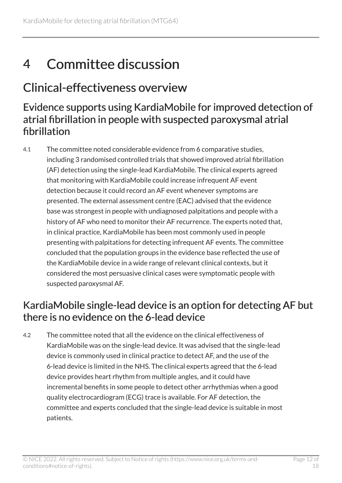## <span id="page-11-0"></span>4 Committee discussion

### <span id="page-11-1"></span>Clinical-effectiveness overview

#### Evidence supports using KardiaMobile for improved detection of atrial fibrillation in people with suspected paroxysmal atrial fibrillation

4.1 The committee noted considerable evidence from 6 comparative studies, including 3 randomised controlled trials that showed improved atrial fibrillation (AF) detection using the single-lead KardiaMobile. The clinical experts agreed that monitoring with KardiaMobile could increase infrequent AF event detection because it could record an AF event whenever symptoms are presented. The external assessment centre (EAC) advised that the evidence base was strongest in people with undiagnosed palpitations and people with a history of AF who need to monitor their AF recurrence. The experts noted that, in clinical practice, KardiaMobile has been most commonly used in people presenting with palpitations for detecting infrequent AF events. The committee concluded that the population groups in the evidence base reflected the use of the KardiaMobile device in a wide range of relevant clinical contexts, but it considered the most persuasive clinical cases were symptomatic people with suspected paroxysmal AF.

#### KardiaMobile single-lead device is an option for detecting AF but there is no evidence on the 6-lead device

4.2 The committee noted that all the evidence on the clinical effectiveness of KardiaMobile was on the single-lead device. It was advised that the single-lead device is commonly used in clinical practice to detect AF, and the use of the 6-lead device is limited in the NHS. The clinical experts agreed that the 6-lead device provides heart rhythm from multiple angles, and it could have incremental benefits in some people to detect other arrhythmias when a good quality electrocardiogram (ECG) trace is available. For AF detection, the committee and experts concluded that the single-lead device is suitable in most patients.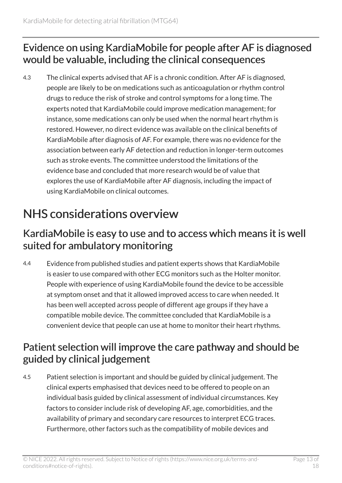#### Evidence on using KardiaMobile for people after AF is diagnosed would be valuable, including the clinical consequences

4.3 The clinical experts advised that AF is a chronic condition. After AF is diagnosed, people are likely to be on medications such as anticoagulation or rhythm control drugs to reduce the risk of stroke and control symptoms for a long time. The experts noted that KardiaMobile could improve medication management; for instance, some medications can only be used when the normal heart rhythm is restored. However, no direct evidence was available on the clinical benefits of KardiaMobile after diagnosis of AF. For example, there was no evidence for the association between early AF detection and reduction in longer-term outcomes such as stroke events. The committee understood the limitations of the evidence base and concluded that more research would be of value that explores the use of KardiaMobile after AF diagnosis, including the impact of using KardiaMobile on clinical outcomes.

## <span id="page-12-0"></span>NHS considerations overview

#### KardiaMobile is easy to use and to access which means it is well suited for ambulatory monitoring

4.4 Evidence from published studies and patient experts shows that KardiaMobile is easier to use compared with other ECG monitors such as the Holter monitor. People with experience of using KardiaMobile found the device to be accessible at symptom onset and that it allowed improved access to care when needed. It has been well accepted across people of different age groups if they have a compatible mobile device. The committee concluded that KardiaMobile is a convenient device that people can use at home to monitor their heart rhythms.

#### Patient selection will improve the care pathway and should be guided by clinical judgement

4.5 Patient selection is important and should be guided by clinical judgement. The clinical experts emphasised that devices need to be offered to people on an individual basis guided by clinical assessment of individual circumstances. Key factors to consider include risk of developing AF, age, comorbidities, and the availability of primary and secondary care resources to interpret ECG traces. Furthermore, other factors such as the compatibility of mobile devices and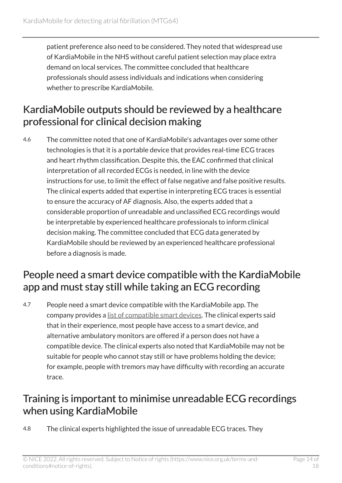patient preference also need to be considered. They noted that widespread use of KardiaMobile in the NHS without careful patient selection may place extra demand on local services. The committee concluded that healthcare professionals should assess individuals and indications when considering whether to prescribe KardiaMobile.

#### KardiaMobile outputs should be reviewed by a healthcare professional for clinical decision making

4.6 The committee noted that one of KardiaMobile's advantages over some other technologies is that it is a portable device that provides real-time ECG traces and heart rhythm classification. Despite this, the EAC confirmed that clinical interpretation of all recorded ECGs is needed, in line with the device instructions for use, to limit the effect of false negative and false positive results. The clinical experts added that expertise in interpreting ECG traces is essential to ensure the accuracy of AF diagnosis. Also, the experts added that a considerable proportion of unreadable and unclassified ECG recordings would be interpretable by experienced healthcare professionals to inform clinical decision making. The committee concluded that ECG data generated by KardiaMobile should be reviewed by an experienced healthcare professional before a diagnosis is made.

#### People need a smart device compatible with the KardiaMobile app and must stay still while taking an ECG recording

4.7 People need a smart device compatible with the KardiaMobile app. The company provides a [list of compatible smart devices](https://www.alivecor.com/previous-labeling/kardiamobile/00LB17.7.pdf). The clinical experts said that in their experience, most people have access to a smart device, and alternative ambulatory monitors are offered if a person does not have a compatible device. The clinical experts also noted that KardiaMobile may not be suitable for people who cannot stay still or have problems holding the device; for example, people with tremors may have difficulty with recording an accurate trace.

#### Training is important to minimise unreadable ECG recordings when using KardiaMobile

4.8 The clinical experts highlighted the issue of unreadable ECG traces. They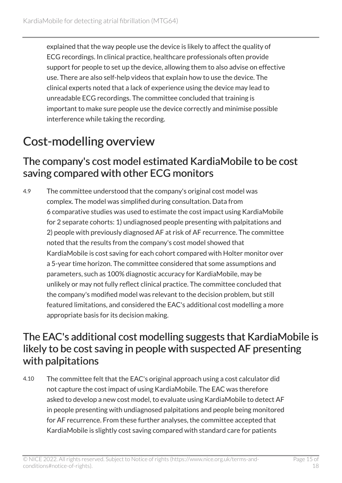explained that the way people use the device is likely to affect the quality of ECG recordings. In clinical practice, healthcare professionals often provide support for people to set up the device, allowing them to also advise on effective use. There are also self-help videos that explain how to use the device. The clinical experts noted that a lack of experience using the device may lead to unreadable ECG recordings. The committee concluded that training is important to make sure people use the device correctly and minimise possible interference while taking the recording.

## <span id="page-14-0"></span>Cost-modelling overview

#### The company's cost model estimated KardiaMobile to be cost saving compared with other ECG monitors

4.9 The committee understood that the company's original cost model was complex. The model was simplified during consultation. Data from 6 comparative studies was used to estimate the cost impact using KardiaMobile for 2 separate cohorts: 1) undiagnosed people presenting with palpitations and 2) people with previously diagnosed AF at risk of AF recurrence. The committee noted that the results from the company's cost model showed that KardiaMobile is cost saving for each cohort compared with Holter monitor over a 5-year time horizon. The committee considered that some assumptions and parameters, such as 100% diagnostic accuracy for KardiaMobile, may be unlikely or may not fully reflect clinical practice. The committee concluded that the company's modified model was relevant to the decision problem, but still featured limitations, and considered the EAC's additional cost modelling a more appropriate basis for its decision making.

#### The EAC's additional cost modelling suggests that KardiaMobile is likely to be cost saving in people with suspected AF presenting with palpitations

4.10 The committee felt that the EAC's original approach using a cost calculator did not capture the cost impact of using KardiaMobile. The EAC was therefore asked to develop a new cost model, to evaluate using KardiaMobile to detect AF in people presenting with undiagnosed palpitations and people being monitored for AF recurrence. From these further analyses, the committee accepted that KardiaMobile is slightly cost saving compared with standard care for patients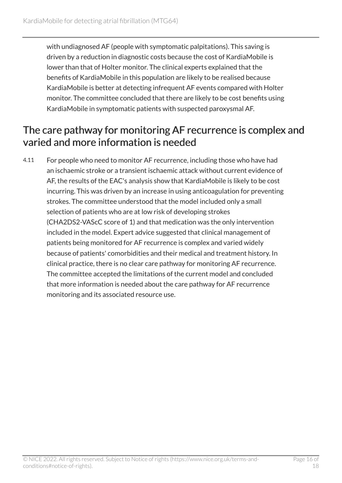with undiagnosed AF (people with symptomatic palpitations). This saving is driven by a reduction in diagnostic costs because the cost of KardiaMobile is lower than that of Holter monitor. The clinical experts explained that the benefits of KardiaMobile in this population are likely to be realised because KardiaMobile is better at detecting infrequent AF events compared with Holter monitor. The committee concluded that there are likely to be cost benefits using KardiaMobile in symptomatic patients with suspected paroxysmal AF.

#### The care pathway for monitoring AF recurrence is complex and varied and more information is needed

4.11 For people who need to monitor AF recurrence, including those who have had an ischaemic stroke or a transient ischaemic attack without current evidence of AF, the results of the EAC's analysis show that KardiaMobile is likely to be cost incurring. This was driven by an increase in using anticoagulation for preventing strokes. The committee understood that the model included only a small selection of patients who are at low risk of developing strokes (CHA2DS2-VAScC score of 1) and that medication was the only intervention included in the model. Expert advice suggested that clinical management of patients being monitored for AF recurrence is complex and varied widely because of patients' comorbidities and their medical and treatment history. In clinical practice, there is no clear care pathway for monitoring AF recurrence. The committee accepted the limitations of the current model and concluded that more information is needed about the care pathway for AF recurrence monitoring and its associated resource use.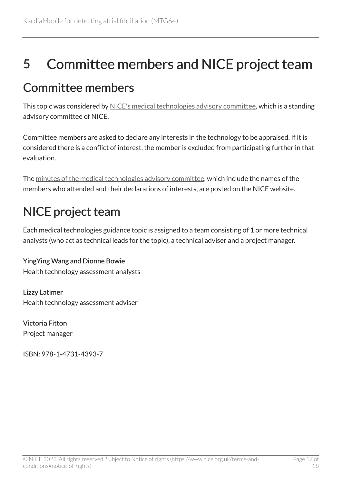## <span id="page-16-0"></span>5 Committee members and NICE project team

### <span id="page-16-1"></span>Committee members

This topic was considered by [NICE's medical technologies advisory committee](https://www.nice.org.uk/Get-Involved/Meetings-in-public/Medical-Technologies-Advisory-Committee/Members), which is a standing advisory committee of NICE.

Committee members are asked to declare any interests in the technology to be appraised. If it is considered there is a conflict of interest, the member is excluded from participating further in that evaluation.

The [minutes of the medical technologies advisory committee,](https://www.nice.org.uk/get-involved/meetings-in-public/medical-technologies-advisory-committee) which include the names of the members who attended and their declarations of interests, are posted on the NICE website.

## <span id="page-16-2"></span>NICE project team

Each medical technologies guidance topic is assigned to a team consisting of 1 or more technical analysts (who act as technical leads for the topic), a technical adviser and a project manager.

YingYing Wang and Dionne Bowie Health technology assessment analysts

Lizzy Latimer Health technology assessment adviser

Victoria Fitton Project manager

ISBN: 978-1-4731-4393-7